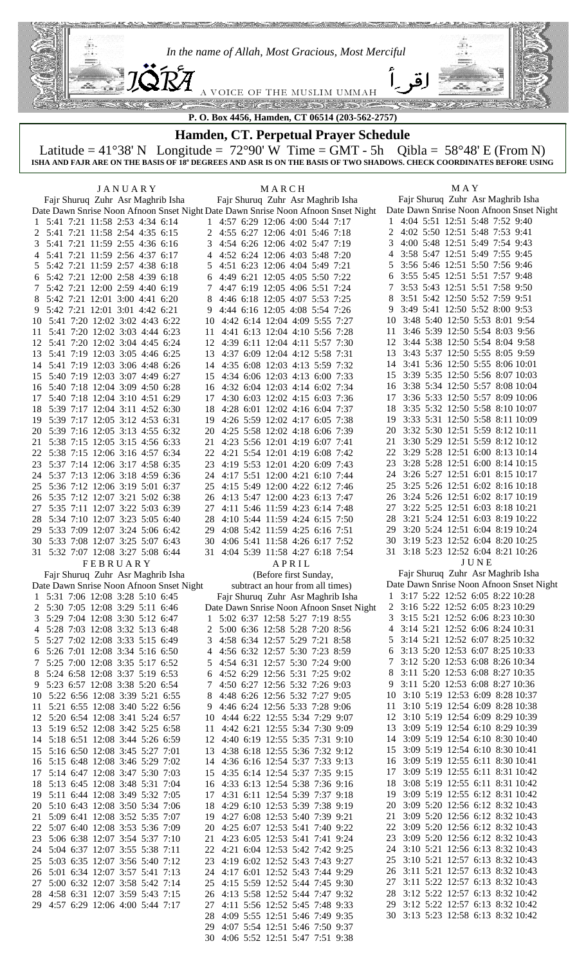